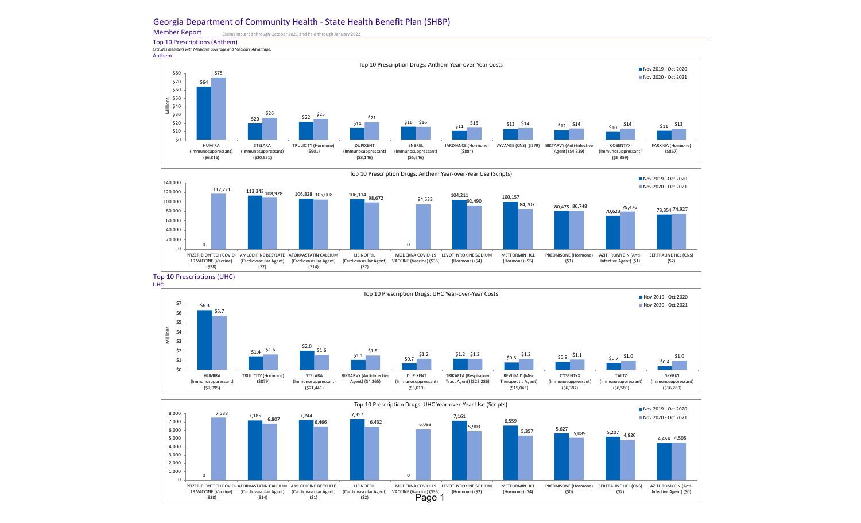## Georgia Department of Community Health - State Health Benefit Plan (SHBP)

Member Report Claims Incurred through October 2021 and Paid through January 2022

Top 10 Prescriptions (Anthem) *Excludes members with Medicare Coverage and Medicare Advantage.*

Anthem